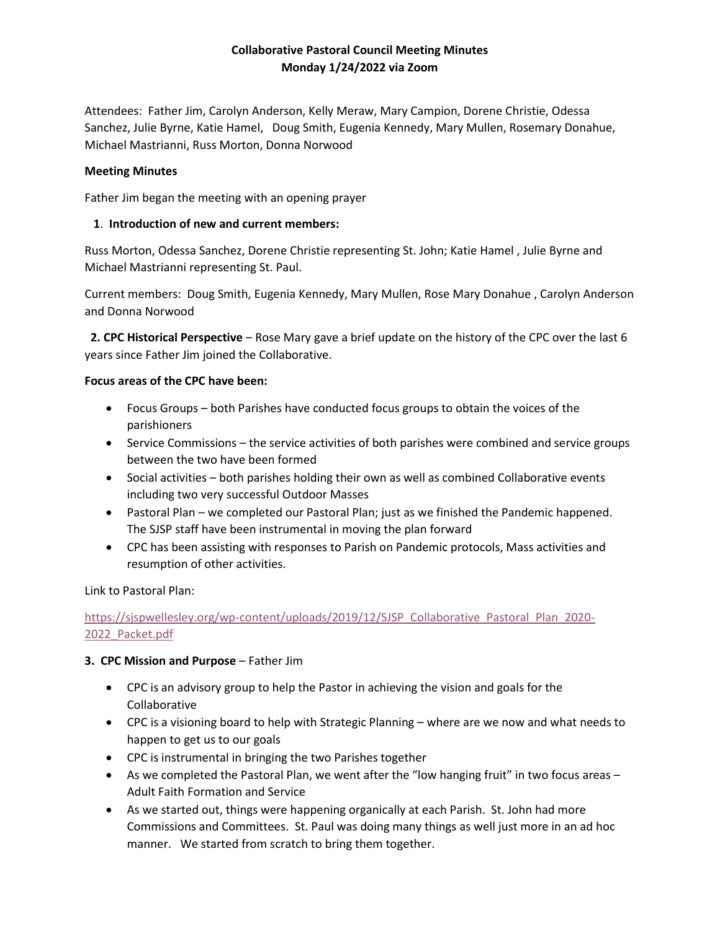## **Collaborative Pastoral Council Meeting Minutes Monday 1/24/2022 via Zoom**

Attendees: Father Jim, Carolyn Anderson, Kelly Meraw, Mary Campion, Dorene Christie, Odessa Sanchez, Julie Byrne, Katie Hamel, Doug Smith, Eugenia Kennedy, Mary Mullen, Rosemary Donahue, Michael Mastrianni, Russ Morton, Donna Norwood

#### **Meeting Minutes**

Father Jim began the meeting with an opening prayer

#### **1**. **Introduction of new and current members:**

Russ Morton, Odessa Sanchez, Dorene Christie representing St. John; Katie Hamel , Julie Byrne and Michael Mastrianni representing St. Paul.

Current members: Doug Smith, Eugenia Kennedy, Mary Mullen, Rose Mary Donahue , Carolyn Anderson and Donna Norwood

 **2. CPC Historical Perspective** – Rose Mary gave a brief update on the history of the CPC over the last 6 years since Father Jim joined the Collaborative.

#### **Focus areas of the CPC have been:**

- Focus Groups both Parishes have conducted focus groups to obtain the voices of the parishioners
- Service Commissions the service activities of both parishes were combined and service groups between the two have been formed
- Social activities both parishes holding their own as well as combined Collaborative events including two very successful Outdoor Masses
- Pastoral Plan we completed our Pastoral Plan; just as we finished the Pandemic happened. The SJSP staff have been instrumental in moving the plan forward
- CPC has been assisting with responses to Parish on Pandemic protocols, Mass activities and resumption of other activities.

Link to Pastoral Plan:

# [https://sjspwellesley.org/wp-content/uploads/2019/12/SJSP\\_Collaborative\\_Pastoral\\_Plan\\_2020-](https://sjspwellesley.org/wp-content/uploads/2019/12/SJSP_Collaborative_Pastoral_Plan_2020-2022_Packet.pdf) [2022\\_Packet.pdf](https://sjspwellesley.org/wp-content/uploads/2019/12/SJSP_Collaborative_Pastoral_Plan_2020-2022_Packet.pdf)

### **3. CPC Mission and Purpose** – Father Jim

- CPC is an advisory group to help the Pastor in achieving the vision and goals for the Collaborative
- CPC is a visioning board to help with Strategic Planning where are we now and what needs to happen to get us to our goals
- CPC is instrumental in bringing the two Parishes together
- As we completed the Pastoral Plan, we went after the "low hanging fruit" in two focus areas Adult Faith Formation and Service
- As we started out, things were happening organically at each Parish. St. John had more Commissions and Committees. St. Paul was doing many things as well just more in an ad hoc manner. We started from scratch to bring them together.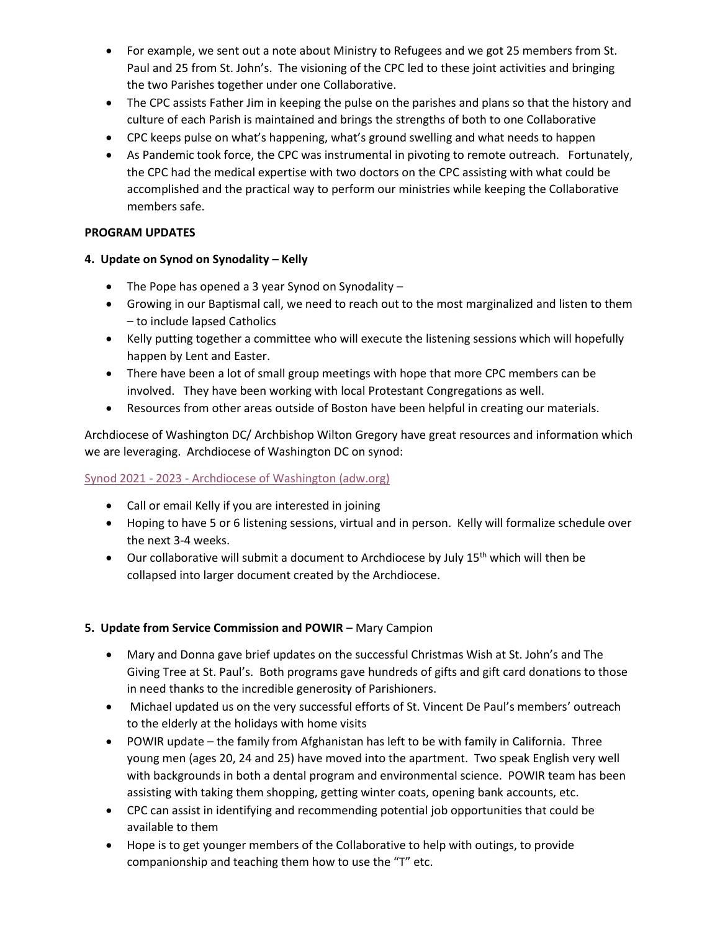- For example, we sent out a note about Ministry to Refugees and we got 25 members from St. Paul and 25 from St. John's. The visioning of the CPC led to these joint activities and bringing the two Parishes together under one Collaborative.
- The CPC assists Father Jim in keeping the pulse on the parishes and plans so that the history and culture of each Parish is maintained and brings the strengths of both to one Collaborative
- CPC keeps pulse on what's happening, what's ground swelling and what needs to happen
- As Pandemic took force, the CPC was instrumental in pivoting to remote outreach. Fortunately, the CPC had the medical expertise with two doctors on the CPC assisting with what could be accomplished and the practical way to perform our ministries while keeping the Collaborative members safe.

## **PROGRAM UPDATES**

- **4. Update on Synod on Synodality – Kelly**
	- The Pope has opened a 3 year Synod on Synodality –
	- Growing in our Baptismal call, we need to reach out to the most marginalized and listen to them – to include lapsed Catholics
	- Kelly putting together a committee who will execute the listening sessions which will hopefully happen by Lent and Easter.
	- There have been a lot of small group meetings with hope that more CPC members can be involved. They have been working with local Protestant Congregations as well.
	- Resources from other areas outside of Boston have been helpful in creating our materials.

Archdiocese of Washington DC/ Archbishop Wilton Gregory have great resources and information which we are leveraging. Archdiocese of Washington DC on synod:

# Synod 2021 - 2023 - [Archdiocese of Washington \(adw.org\)](https://adw.org/about-us/resources/synod/)

- Call or email Kelly if you are interested in joining
- Hoping to have 5 or 6 listening sessions, virtual and in person. Kelly will formalize schedule over the next 3-4 weeks.
- $\bullet$  Our collaborative will submit a document to Archdiocese by July 15<sup>th</sup> which will then be collapsed into larger document created by the Archdiocese.

### **5. Update from Service Commission and POWIR** – Mary Campion

- Mary and Donna gave brief updates on the successful Christmas Wish at St. John's and The Giving Tree at St. Paul's. Both programs gave hundreds of gifts and gift card donations to those in need thanks to the incredible generosity of Parishioners.
- Michael updated us on the very successful efforts of St. Vincent De Paul's members' outreach to the elderly at the holidays with home visits
- POWIR update the family from Afghanistan has left to be with family in California. Three young men (ages 20, 24 and 25) have moved into the apartment. Two speak English very well with backgrounds in both a dental program and environmental science. POWIR team has been assisting with taking them shopping, getting winter coats, opening bank accounts, etc.
- CPC can assist in identifying and recommending potential job opportunities that could be available to them
- Hope is to get younger members of the Collaborative to help with outings, to provide companionship and teaching them how to use the "T" etc.